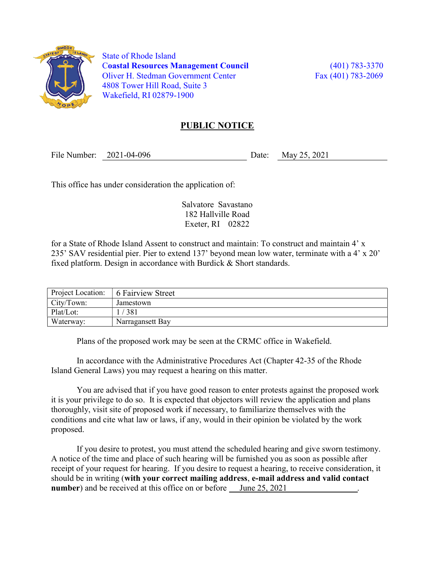

 State of Rhode Island Coastal Resources Management Council (401) 783-3370 Oliver H. Stedman Government Center Fax (401) 783-2069 4808 Tower Hill Road, Suite 3 Wakefield, RI 02879-1900

## PUBLIC NOTICE

File Number: 2021-04-096 Date: May 25, 2021

This office has under consideration the application of:

Salvatore Savastano 182 Hallville Road Exeter, RI 02822

for a State of Rhode Island Assent to construct and maintain: To construct and maintain 4' x 235' SAV residential pier. Pier to extend 137' beyond mean low water, terminate with a 4' x 20' fixed platform. Design in accordance with Burdick & Short standards.

| Project Location: | 6 Fairview Street |
|-------------------|-------------------|
| City/Town:        | Jamestown         |
| Plat/Lot:         | 381               |
| Waterway:         | Narragansett Bay  |

Plans of the proposed work may be seen at the CRMC office in Wakefield.

In accordance with the Administrative Procedures Act (Chapter 42-35 of the Rhode Island General Laws) you may request a hearing on this matter.

You are advised that if you have good reason to enter protests against the proposed work it is your privilege to do so. It is expected that objectors will review the application and plans thoroughly, visit site of proposed work if necessary, to familiarize themselves with the conditions and cite what law or laws, if any, would in their opinion be violated by the work proposed.

If you desire to protest, you must attend the scheduled hearing and give sworn testimony. A notice of the time and place of such hearing will be furnished you as soon as possible after receipt of your request for hearing. If you desire to request a hearing, to receive consideration, it should be in writing (with your correct mailing address, e-mail address and valid contact number) and be received at this office on or before <u>June 25, 2021</u>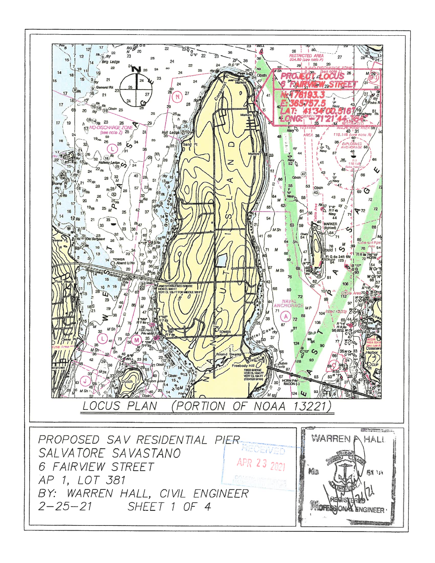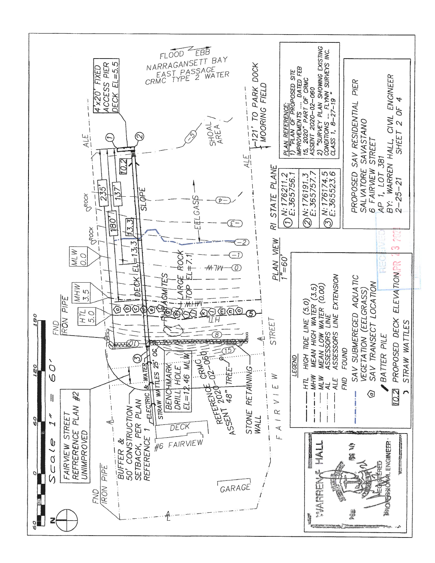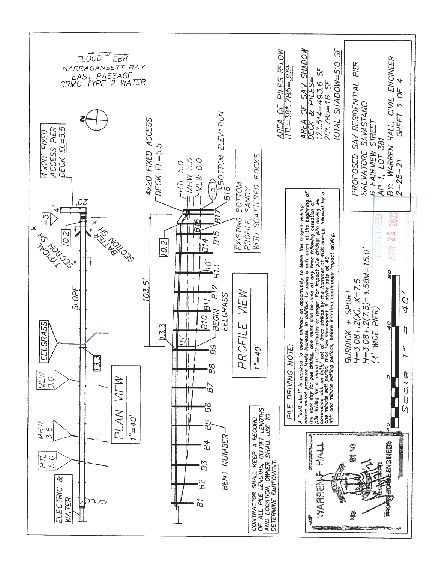